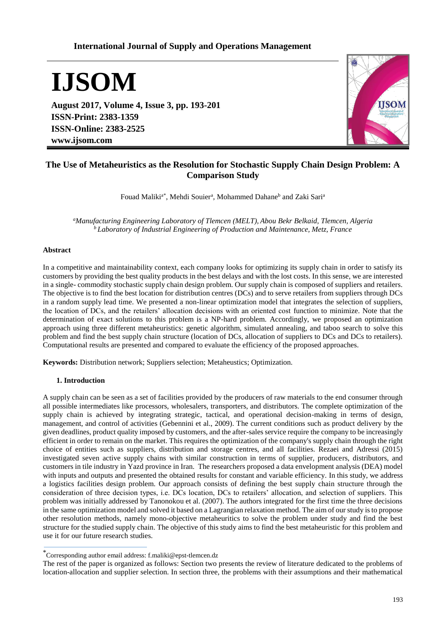# **International Journal of Supply and Operations Management**

**IJSOM**

**August 2017, Volume 4, Issue 3, pp. 193-201 ISSN-Print: 2383-1359 ISSN-Online: 2383-2525 www.ijsom.com**



# **The Use of Metaheuristics as the Resolution for Stochastic Supply Chain Design Problem: A Comparison Study**

Fouad Maliki<sup>a\*</sup>, Mehdi Souier<sup>a</sup>, Mohammed Dahane<sup>b</sup> and Zaki Sari<sup>a</sup>

*<sup>a</sup>Manufacturing Engineering Laboratory of Tlemcen (MELT), Abou Bekr Belkaid, Tlemcen, Algeria <sup>b</sup>Laboratory of Industrial Engineering of Production and Maintenance, Metz, France*

## **Abstract**

In a competitive and maintainability context, each company looks for optimizing its supply chain in order to satisfy its customers by providing the best quality products in the best delays and with the lost costs. In this sense, we are interested in a single- commodity stochastic supply chain design problem. Our supply chain is composed of suppliers and retailers. The objective is to find the best location for distribution centres (DCs) and to serve retailers from suppliers through DCs in a random supply lead time. We presented a non-linear optimization model that integrates the selection of suppliers, the location of DCs, and the retailers' allocation decisions with an oriented cost function to minimize. Note that the determination of exact solutions to this problem is a NP-hard problem. Accordingly, we proposed an optimization approach using three different metaheuristics: genetic algorithm, simulated annealing, and taboo search to solve this problem and find the best supply chain structure (location of DCs, allocation of suppliers to DCs and DCs to retailers). Computational results are presented and compared to evaluate the efficiency of the proposed approaches.

**Keywords:** Distribution network; Suppliers selection; Metaheustics; Optimization.

#### **1. Introduction**

A supply chain can be seen as a set of facilities provided by the producers of raw materials to the end consumer through all possible intermediates like processors, wholesalers, transporters, and distributors. The complete optimization of the supply chain is achieved by integrating strategic, tactical, and operational decision-making in terms of design, management, and control of activities (Gebennini et al., 2009). The current conditions such as product delivery by the given deadlines, product quality imposed by customers, and the after-sales service require the company to be increasingly efficient in order to remain on the market. This requires the optimization of the company's supply chain through the right choice of entities such as suppliers, distribution and storage centres, and all facilities. Rezaei and Adressi (2015) investigated seven active supply chains with similar construction in terms of supplier, producers, distributors, and customers in tile industry in Yazd province in Iran. The researchers proposed a data envelopment analysis (DEA) model with inputs and outputs and presented the obtained results for constant and variable efficiency. In this study, we address a logistics facilities design problem. Our approach consists of defining the best supply chain structure through the consideration of three decision types, i.e. DCs location, DCs to retailers' allocation, and selection of suppliers. This problem was initially addressed by Tanonokou et al. (2007). The authors integrated for the first time the three decisions in the same optimization model and solved it based on a Lagrangian relaxation method. The aim of our study is to propose other resolution methods, namely mono-objective metaheuritics to solve the problem under study and find the best structure for the studied supply chain. The objective of this study aims to find the best metaheuristic for this problem and use it for our future research studies.

The rest of the paper is organized as follows: Section two presents the review of literature dedicated to the problems of location-allocation and supplier selection. In section three, the problems with their assumptions and their mathematical

<sup>\*</sup>Corresponding author email address: f.maliki@epst-tlemcen.dz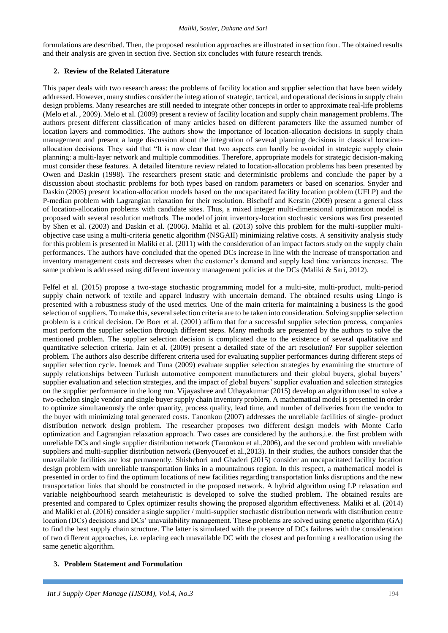formulations are described. Then, the proposed resolution approaches are illustrated in section four. The obtained results and their analysis are given in section five. Section six concludes with future research trends.

# **2. Review of the Related Literature**

This paper deals with two research areas: the problems of facility location and supplier selection that have been widely addressed. However, many studies consider the integration of strategic, tactical, and operational decisions in supply chain design problems. Many researches are still needed to integrate other concepts in order to approximate real-life problems (Melo et al. , 2009). Melo et al. (2009) present a review of facility location and supply chain management problems. The authors present different classification of many articles based on different parameters like the assumed number of location layers and commodities. The authors show the importance of location-allocation decisions in supply chain management and present a large discussion about the integration of several planning decisions in classical locationallocation decisions. They said that "It is now clear that two aspects can hardly be avoided in strategic supply chain planning: a multi-layer network and multiple commodities. Therefore, appropriate models for strategic decision-making must consider these features. A detailed literature review related to location-allocation problems has been presented by Owen and Daskin (1998). The researchers present static and deterministic problems and conclude the paper by a discussion about stochastic problems for both types based on random parameters or based on scenarios. Snyder and Daskin (2005) present location-allocation models based on the uncapacitated facility location problem (UFLP) and the P-median problem with Lagrangian relaxation for their resolution. Bischoff and Kerstin (2009) present a general class of location-allocation problems with candidate sites. Thus, a mixed integer multi-dimensional optimization model is proposed with several resolution methods. The model of joint inventory-location stochastic versions was first presented by Shen et al. (2003) and Daskin et al. (2006). Maliki et al. (2013) solve this problem for the multi-supplier multiobjective case using a multi-criteria genetic algorithm (NSGAII) minimizing relative costs. A sensitivity analysis study for this problem is presented in Maliki et al. (2011) with the consideration of an impact factors study on the supply chain performances. The authors have concluded that the opened DCs increase in line with the increase of transportation and inventory management costs and decreases when the customer's demand and supply lead time variances increase. The same problem is addressed using different inventory management policies at the DCs (Maliki & Sari, 2012).

Felfel et al. (2015) propose a two-stage stochastic programming model for a multi-site, multi-product, multi-period supply chain network of textile and apparel industry with uncertain demand. The obtained results using Lingo is presented with a robustness study of the used metrics. One of the main criteria for maintaining a business is the good selection of suppliers. To make this, several selection criteria are to be taken into consideration. Solving supplier selection problem is a critical decision. De Boer et al. (2001) affirm that for a successful supplier selection process, companies must perform the supplier selection through different steps. Many methods are presented by the authors to solve the mentioned problem. The supplier selection decision is complicated due to the existence of several qualitative and quantitative selection criteria. Jain et al. (2009) present a detailed state of the art resolution? For supplier selection problem. The authors also describe different criteria used for evaluating supplier performances during different steps of supplier selection cycle. Inemek and Tuna (2009) evaluate supplier selection strategies by examining the structure of supply relationships between Turkish automotive component manufacturers and their global buyers, global buyers' supplier evaluation and selection strategies, and the impact of global buyers' supplier evaluation and selection strategies on the supplier performance in the long run. Vijayashree and Uthayakumar (2015) develop an algorithm used to solve a two-echelon single vendor and single buyer supply chain inventory problem. A mathematical model is presented in order to optimize simultaneously the order quantity, process quality, lead time, and number of deliveries from the vendor to the buyer with minimizing total generated costs. Tanonkou (2007) addresses the unreliable facilities of single- product distribution network design problem. The researcher proposes two different design models with Monte Carlo optimization and Lagrangian relaxation approach. Two cases are considered by the authors,i.e. the first problem with unreliable DCs and single supplier distribution network (Tanonkou et al.,2006), and the second problem with unreliable suppliers and multi-supplier distribution network (Benyoucef et al.,2013). In their studies, the authors consider that the unavailable facilities are lost permanently. Shishebori and Ghaderi (2015) consider an uncapacitated facility location design problem with unreliable transportation links in a mountainous region. In this respect, a mathematical model is presented in order to find the optimum locations of new facilities regarding transportation links disruptions and the new transportation links that should be constructed in the proposed network. A hybrid algorithm using LP relaxation and variable neighbourhood search metaheuristic is developed to solve the studied problem. The obtained results are presented and compared to Cplex optimizer results showing the proposed algorithm effectiveness. Maliki et al. (2014) and Maliki et al. (2016) consider a single supplier / multi-supplier stochastic distribution network with distribution centre location (DCs) decisions and DCs' unavailability management. These problems are solved using genetic algorithm (GA) to find the best supply chain structure. The latter is simulated with the presence of DCs failures with the consideration of two different approaches, i.e. replacing each unavailable DC with the closest and performing a reallocation using the same genetic algorithm.

## **3. Problem Statement and Formulation**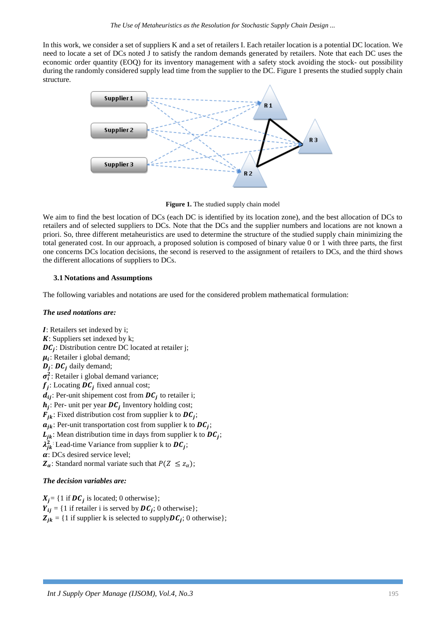In this work, we consider a set of suppliers K and a set of retailers I. Each retailer location is a potential DC location. We need to locate a set of DCs noted J to satisfy the random demands generated by retailers. Note that each DC uses the economic order quantity (EOQ) for its inventory management with a safety stock avoiding the stock- out possibility during the randomly considered supply lead time from the supplier to the DC. Figure 1 presents the studied supply chain structure.



**Figure 1.** The studied supply chain model

We aim to find the best location of DCs (each DC is identified by its location zone), and the best allocation of DCs to retailers and of selected suppliers to DCs. Note that the DCs and the supplier numbers and locations are not known a priori. So, three different metaheuristics are used to determine the structure of the studied supply chain minimizing the total generated cost. In our approach, a proposed solution is composed of binary value 0 or 1 with three parts, the first one concerns DCs location decisions, the second is reserved to the assignment of retailers to DCs, and the third shows the different allocations of suppliers to DCs.

# **3.1 Notations and Assumptions**

The following variables and notations are used for the considered problem mathematical formulation:

## *The used notations are:*

: Retailers set indexed by i;  $K$ : Suppliers set indexed by k;  $DC_j$ : Distribution centre DC located at retailer j;  $\mu_i$ : Retailer i global demand;  $D_j$ :  $DC_j$  daily demand;  $\sigma_i^2$ : Retailer i global demand variance;  $f_j$ : Locating  $DC_j$  fixed annual cost;  $d_{ij}$ : Per-unit shipement cost from  $DC_j$  to retailer i;  $h_j$ : Per- unit per year  $DC_j$  Inventory holding cost;  $\bm{F}_{jk}$ : Fixed distribution cost from supplier k to  $\bm{DC}_{j}$ ;  $a_{jk}$ : Per-unit transportation cost from supplier k to  $DC_j$ ;  $L_{jk}$ : Mean distribution time in days from supplier k to  $DC_j$ ;  $\lambda_{jk}^2$ : Lead-time Variance from supplier k to  $DC_j$ ;  $\alpha$ : DCs desired service level;  $\mathbf{Z}_{\alpha}$ : Standard normal variate such that  $P(Z \leq z_{\alpha})$ ;

# *The decision variables are:*

 $X_j = \{1 \text{ if } DC_j \text{ is located}; 0 \text{ otherwise} \};$  $Y_{ij} = \{1 \text{ if retailer i is served by } DC_j; 0 \text{ otherwise } \};$  $Z_{jk} = \{1 \text{ if supplier k is selected to supply } DC_j; 0 \text{ otherwise}\};$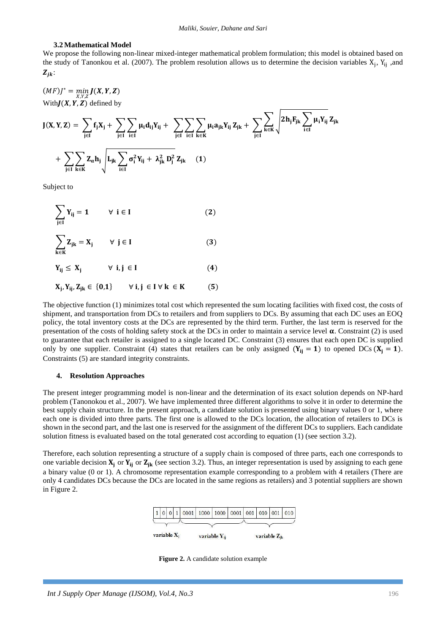#### **3.2 Mathematical Model**

We propose the following non-linear mixed-integer mathematical problem formulation; this model is obtained based on the study of Tanonkou et al. (2007). The problem resolution allows us to determine the decision variables  $X_j$ ,  $Y_{ij}$ , and  $Z_{ik}$ :

$$
(MF)J^* = \min_{X,Y,Z}
$$
  
With  $J(X, Y, Z)$  defined by  

$$
J(X, Y, Z) = \sum_{j \in I} f_j X_j + \sum_{j \in I} \sum_{i \in I} \mu_i d_{ij} Y_{ij} + \sum_{j \in I} \sum_{i \in I} \sum_{k \in K} \mu_i a_{jk} Y_{ij} Z_{jk} + \sum_{j \in I} \sum_{k \in K} \sqrt{2h_j F_{jk} \sum_{i \in I} \mu_i Y_{ij}} Z_{jk}
$$

$$
+ \sum_{j \in I} \sum_{k \in K} Z_{\alpha} h_j \sqrt{L_{jk} \sum_{i \in I} \sigma_i^2 Y_{ij} + \lambda_{jk}^2 D_j^2 Z_{jk}} \quad (1)
$$

Subject to

$$
\sum_{j\in I} Y_{ij} = 1 \qquad \forall \ i \in I \tag{2}
$$

$$
\sum_{k \in K} Z_{jk} = X_j \qquad \forall \ j \in I \tag{3}
$$

$$
Y_{ij} \leq X_j \qquad \forall \ i,j \in I \tag{4}
$$

$$
X_j, Y_{ij}, Z_{jk} \in \{0, 1\} \qquad \forall \ i, j \in I \ \forall \ k \in K \tag{5}
$$

The objective function (1) minimizes total cost which represented the sum locating facilities with fixed cost, the costs of shipment, and transportation from DCs to retailers and from suppliers to DCs. By assuming that each DC uses an EOQ policy, the total inventory costs at the DCs are represented by the third term. Further, the last term is reserved for the presentation of the costs of holding safety stock at the DCs in order to maintain a service level  $\alpha$ . Constraint (2) is used to guarantee that each retailer is assigned to a single located DC. Constraint (3) ensures that each open DC is supplied only by one supplier. Constraint (4) states that retailers can be only assigned  $(Y_{ij} = 1)$  to opened DCs  $(X_i = 1)$ . Constraints (5) are standard integrity constraints.

#### **4. Resolution Approaches**

The present integer programming model is non-linear and the determination of its exact solution depends on NP-hard problem (Tanonokou et al., 2007). We have implemented three different algorithms to solve it in order to determine the best supply chain structure. In the present approach, a candidate solution is presented using binary values 0 or 1, where each one is divided into three parts. The first one is allowed to the DCs location, the allocation of retailers to DCs is shown in the second part, and the last one is reserved for the assignment of the different DCs to suppliers. Each candidate solution fitness is evaluated based on the total generated cost according to equation (1) (see section 3.2).

Therefore, each solution representing a structure of a supply chain is composed of three parts, each one corresponds to one variable decision  $X_i$  or  $Y_{ii}$  or  $Z_{ik}$  (see section 3.2). Thus, an integer representation is used by assigning to each gene a binary value (0 or 1). A chromosome representation example corresponding to a problem with 4 retailers (There are only 4 candidates DCs because the DCs are located in the same regions as retailers) and 3 potential suppliers are shown in Figure 2.



 **Figure 2.** A candidate solution example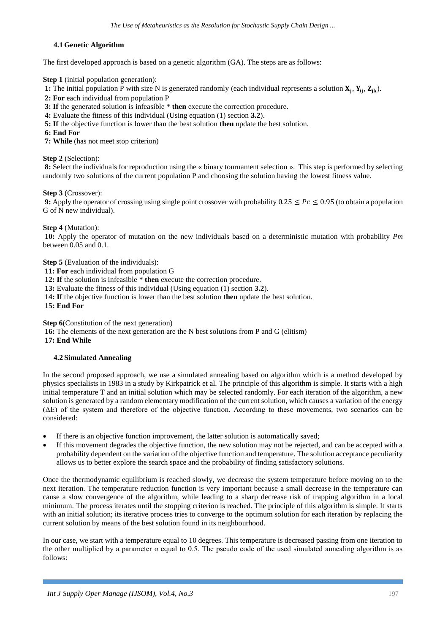## **4.1 Genetic Algorithm**

The first developed approach is based on a genetic algorithm (GA). The steps are as follows:

**Step 1** (initial population generation):

1: The initial population P with size N is generated randomly (each individual represents a solution  $X_j$ ,  $Y_{ij}$ ,  $Z_{jk}$ ).

**2: For** each individual from population P

**3: If** the generated solution is infeasible \* **then** execute the correction procedure.

- **4:** Evaluate the fitness of this individual (Using equation (1) section **3.2**).
- **5: If** the objective function is lower than the best solution **then** update the best solution.

**6: End For** 

**7: While** (has not meet stop criterion)

**Step 2** (Selection):

**8:** Select the individuals for reproduction using the « binary tournament selection ». This step is performed by selecting randomly two solutions of the current population P and choosing the solution having the lowest fitness value.

**Step 3** (Crossover):

**9:** Apply the operator of crossing using single point crossover with probability  $0.25 \leq Pc \leq 0.95$  (to obtain a population G of N new individual).

# **Step 4** (Mutation):

**10:** Apply the operator of mutation on the new individuals based on a deterministic mutation with probability *Pm*  between  $0.05$  and  $0.1$ .

**Step 5** (Evaluation of the individuals):

**11: For** each individual from population G

**12: If** the solution is infeasible \* **then** execute the correction procedure.

**13:** Evaluate the fitness of this individual (Using equation (1) section **3.2**).

**14: If** the objective function is lower than the best solution **then** update the best solution.

**15: End For**

**Step 6**(Constitution of the next generation)

**16:** The elements of the next generation are the N best solutions from P and G (elitism) **17: End While**

## **4.2 Simulated Annealing**

In the second proposed approach, we use a simulated annealing based on algorithm which is a method developed by physics specialists in 1983 in a study by Kirkpatrick et al. The principle of this algorithm is simple. It starts with a high initial temperature T and an initial solution which may be selected randomly. For each iteration of the algorithm, a new solution is generated by a random elementary modification of the current solution, which causes a variation of the energy (ΔE) of the system and therefore of the objective function. According to these movements, two scenarios can be considered:

- If there is an objective function improvement, the latter solution is automatically saved;
- If this movement degrades the objective function, the new solution may not be rejected, and can be accepted with a probability dependent on the variation of the objective function and temperature. The solution acceptance peculiarity allows us to better explore the search space and the probability of finding satisfactory solutions.

Once the thermodynamic equilibrium is reached slowly, we decrease the system temperature before moving on to the next iteration. The temperature reduction function is very important because a small decrease in the temperature can cause a slow convergence of the algorithm, while leading to a sharp decrease risk of trapping algorithm in a local minimum. The process iterates until the stopping criterion is reached. The principle of this algorithm is simple. It starts with an initial solution; its iterative process tries to converge to the optimum solution for each iteration by replacing the current solution by means of the best solution found in its neighbourhood.

In our case, we start with a temperature equal to 10 degrees. This temperature is decreased passing from one iteration to the other multiplied by a parameter  $\alpha$  equal to 0.5. The pseudo code of the used simulated annealing algorithm is as follows: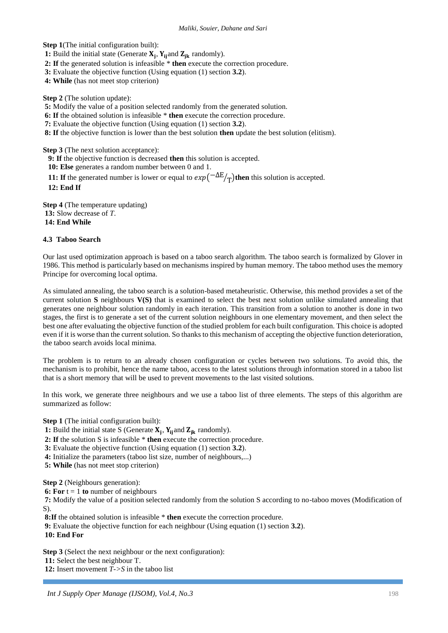**Step 1**(The initial configuration built):

**1:** Build the initial state (Generate  $X_j$ ,  $Y_{ij}$  and  $Z_{jk}$  randomly).

**2: If** the generated solution is infeasible \* **then** execute the correction procedure.

**3:** Evaluate the objective function (Using equation (1) section **3.2**).

**4: While** (has not meet stop criterion)

**Step 2** (The solution update):

**5:** Modify the value of a position selected randomly from the generated solution.

**6: If** the obtained solution is infeasible \* **then** execute the correction procedure.

**7:** Evaluate the objective function (Using equation (1) section **3.2**).

**8: If** the objective function is lower than the best solution **then** update the best solution (elitism).

**Step 3** (The next solution acceptance):

**9: If** the objective function is decreased **then** this solution is accepted.

**10: Else** generates a random number between 0 and 1.

**11:** If the generated number is lower or equal to  $exp(-\Delta E/T)$  then this solution is accepted.

**12: End If**

**Step 4** (The temperature updating) **13:** Slow decrease of *T*. **14: End While**

# **4.3 Taboo Search**

Our last used optimization approach is based on a taboo search algorithm. The taboo search is formalized by Glover in 1986. This method is particularly based on mechanisms inspired by human memory. The taboo method uses the memory Principe for overcoming local optima.

As simulated annealing, the taboo search is a solution-based metaheuristic. Otherwise, this method provides a set of the current solution **S** neighbours **V(S)** that is examined to select the best next solution unlike simulated annealing that generates one neighbour solution randomly in each iteration. This transition from a solution to another is done in two stages, the first is to generate a set of the current solution neighbours in one elementary movement, and then select the best one after evaluating the objective function of the studied problem for each built configuration. This choice is adopted even if it is worse than the current solution. So thanks to this mechanism of accepting the objective function deterioration, the taboo search avoids local minima.

The problem is to return to an already chosen configuration or cycles between two solutions. To avoid this, the mechanism is to prohibit, hence the name taboo, access to the latest solutions through information stored in a taboo list that is a short memory that will be used to prevent movements to the last visited solutions.

In this work, we generate three neighbours and we use a taboo list of three elements. The steps of this algorithm are summarized as follow:

**Step 1** (The initial configuration built):

**1:** Build the initial state S (Generate  $X_j$ ,  $Y_{ij}$  and  $Z_{jk}$  randomly).

**2: If** the solution S is infeasible \* **then** execute the correction procedure.

**3:** Evaluate the objective function (Using equation (1) section **3.2**).

**4:** Initialize the parameters (taboo list size, number of neighbours,...)

**5: While** (has not meet stop criterion)

**Step 2** (Neighbours generation):

**6:** For  $t = 1$  to number of neighbours

**7:** Modify the value of a position selected randomly from the solution S according to no-taboo moves (Modification of S).

**8:If** the obtained solution is infeasible \* **then** execute the correction procedure.

**9:** Evaluate the objective function for each neighbour (Using equation (1) section **3.2**).

**10: End For**

**Step 3** (Select the next neighbour or the next configuration):

**11:** Select the best neighbour T.

**12:** Insert movement *T->S* in the taboo list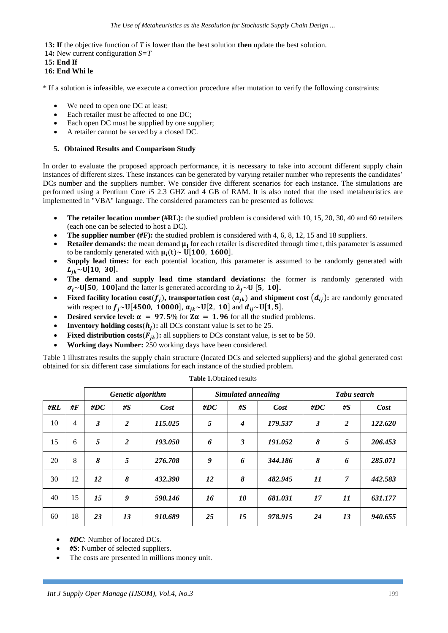**13: If** the objective function of *T* is lower than the best solution **then** update the best solution.

- **14:** New current configuration *S=T*
- **15: End If**
- **16: End Whi le**

\* If a solution is infeasible, we execute a correction procedure after mutation to verify the following constraints:

- We need to open one DC at least;
- Each retailer must be affected to one DC;
- Each open DC must be supplied by one supplier;
- A retailer cannot be served by a closed DC.

## **5. Obtained Results and Comparison Study**

In order to evaluate the proposed approach performance, it is necessary to take into account different supply chain instances of different sizes. These instances can be generated by varying retailer number who represents the candidates' DCs number and the suppliers number. We consider five different scenarios for each instance. The simulations are performed using a Pentium Core *i5* 2.3 GHZ and 4 GB of RAM. It is also noted that the used metaheuristics are implemented in "VBA" language. The considered parameters can be presented as follows:

- **The retailer location number (#RL):** the studied problem is considered with 10, 15, 20, 30, 40 and 60 retailers (each one can be selected to host a DC).
- **The supplier number (#F):** the studied problem is considered with 4, 6, 8, 12, 15 and 18 suppliers.
- **Retailer demands:** the mean demand  $\mu_i$  for each retailer is discredited through time t, this parameter is assumed to be randomly generated with  $\mu_i(t) \sim U[100, 1600]$ .
- **Supply lead times:** for each potential location, this parameter is assumed to be randomly generated with  $L_{jk}$ ~U[10, 30].
- **The demand and supply lead time standard deviations:** the former is randomly generated with  $\sigma_i$ ~U[50, 100]and the latter is generated according to  $\lambda_i$ ~U [5, 10].
- **Fixed facility location cost**( $f_j$ ), transportation cost  $(a_{jk})$  and shipment cost  $(d_{ij})$ : are randomly generated with respect to  $f_j \sim U[4500, 10000], a_{jk} \sim U[2, 10]$  and  $d_{ij} \sim U[1, 5].$
- **•** Desired service level:  $\alpha = 97.5\%$  for  $Z\alpha = 1.96$  for all the studied problems.
- **Inventory holding costs** $(h_i)$ **: all DCs constant value is set to be 25.**
- **Fixed distribution costs(** $F_{jk}$ **): all suppliers to DCs constant value, is set to be 50.**
- **Working days Number:** 250 working days have been considered.

Table 1 illustrates results the supply chain structure (located DCs and selected suppliers) and the global generated cost obtained for six different case simulations for each instance of the studied problem.

|     |                    | Genetic algorithm    |                |         | Simulated annealing |                  |         | Tabu search |                |         |
|-----|--------------------|----------------------|----------------|---------|---------------------|------------------|---------|-------------|----------------|---------|
| #RL | # $\boldsymbol{F}$ | # $DC$               | #S             | Cost    | #DC                 | #S               | Cost    | $\#DC$      | #S             | Cost    |
| 10  | 4                  | $\boldsymbol{\beta}$ | $\overline{2}$ | 115.025 | 5                   | $\boldsymbol{4}$ | 179.537 | 3           | 2              | 122.620 |
| 15  | 6                  | 5                    | $\overline{2}$ | 193.050 | 6                   | 3                | 191.052 | 8           | 5              | 206.453 |
| 20  | 8                  | 8                    | 5              | 276.708 | 9                   | 6                | 344.186 | 8           | 6              | 285.071 |
| 30  | 12                 | 12                   | 8              | 432.390 | 12                  | 8                | 482.945 | 11          | $\overline{7}$ | 442.583 |
| 40  | 15                 | 15                   | 9              | 590.146 | 16                  | 10               | 681.031 | 17          | 11             | 631.177 |
| 60  | 18                 | 23                   | 13             | 910.689 | 25                  | 15               | 978.915 | 24          | 13             | 940.655 |

**Table 1.**Obtained results

• *#DC*: Number of located DCs.

*#S*: Number of selected suppliers.

The costs are presented in millions money unit.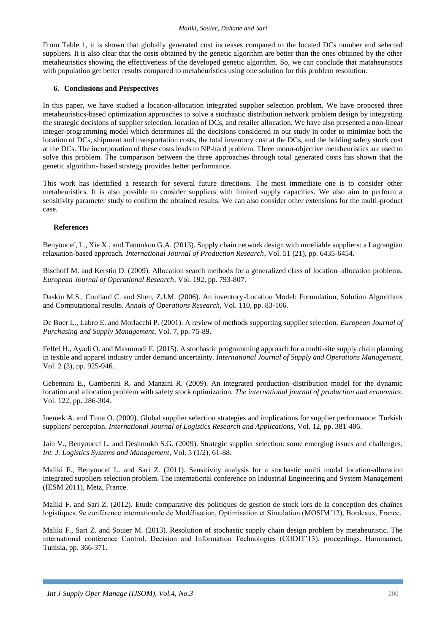#### *Maliki, Souier, Dahane and Sari*

From Table 1, it is shown that globally generated cost increases compared to the located DCs number and selected suppliers. It is also clear that the costs obtained by the genetic algorithm are better than the ones obtained by the other metaheuristics showing the effectiveness of the developed genetic algorithm. So, we can conclude that mataheuristics with population get better results compared to metaheuristics using one solution for this problem resolution.

### **6. Conclusions and Perspectives**

In this paper, we have studied a location-allocation integrated supplier selection problem. We have proposed three metaheuristics-based optimization approaches to solve a stochastic distribution network problem design by integrating the strategic decisions of supplier selection, location of DCs, and retailer allocation. We have also presented a non-linear integer-programming model which determines all the decisions considered in our study in order to minimize both the location of DCs, shipment and transportation costs, the total inventory cost at the DCs, and the holding safety stock cost at the DCs. The incorporation of these costs leads to NP-hard problem. Three mono-objective metaheuristics are used to solve this problem. The comparison between the three approaches through total generated costs has shown that the genetic algorithm- based strategy provides better performance.

This work has identified a research for several future directions. The most immediate one is to consider other metaheuristics. It is also possible to consider suppliers with limited supply capacities. We also aim to perform a sensitivity parameter study to confirm the obtained results. We can also consider other extensions for the multi-product case.

#### **References**

Benyoucef, L., Xie X., and Tanonkou G.A. (2013). Supply chain network design with unreliable suppliers: a Lagrangian relaxation-based approach. *International Journal of Production Research*, Vol. 51 (21), pp. 6435-6454.

Bischoff M. and Kerstin D. (2009). Allocation search methods for a generalized class of location–allocation problems. *European Journal of Operational Research*, Vol. 192, pp. 793-807.

Daskin M.S., Coullard C. and Shen, Z.J.M. (2006). An inventory-Location Model: Formulation, Solution Algorithms and Computational results. *Annals of Operations Research*, Vol. 110, pp. 83-106.

De Boer L., Labro E. and Morlacchi P. (2001). A review of methods supporting supplier selection. *European Journal of Purchasing and Supply Management*, Vol. 7, pp. 75-89.

Felfel H., Ayadi O. and Masmoudi F. (2015). A stochastic programming approach for a multi-site supply chain planning in textile and apparel industry under demand uncertainty. *International Journal of Supply and Operations Management*, Vol. 2 (3), pp. 925-946.

Gebennini E., Gamberini R. and Manzini R. (2009). An integrated production–distribution model for the dynamic location and allocation problem with safety stock optimization. *The international journal of production and economics*, Vol. 122, pp. 286-304.

Inemek A. and Tuna O. (2009). Global supplier selection strategies and implications for supplier performance: Turkish suppliers' perception. *International Journal of Logistics Research and Applications*, Vol. 12, pp. 381-406.

Jain V., Benyoucef L. and Deshmukh S.G. (2009). Strategic supplier selection: some emerging issues and challenges. *Int. J. Logistics Systems and Management*, Vol. 5 (1/2), 61-88.

Maliki F., Benyoucef L. and Sari Z. (2011). Sensitivity analysis for a stochastic multi modal location-allocation integrated suppliers selection problem. The international conference on Industrial Engineering and System Management (IESM 2011), Metz, France.

Maliki F. and Sari Z. (2012). Etude comparative des politiques de gestion de stock lors de la conception des chaînes logistiques. 9e conférence internationale de Modélisation, Optimisation et Simulation (MOSIM'12), Bordeaux, France.

Maliki F., Sari Z. and Souier M. (2013). Resolution of stochastic supply chain design problem by metaheuristic. The international conference Control, Decision and Information Technologies (CODIT'13), proceedings, Hammamet, Tunisia, pp. 366-371.